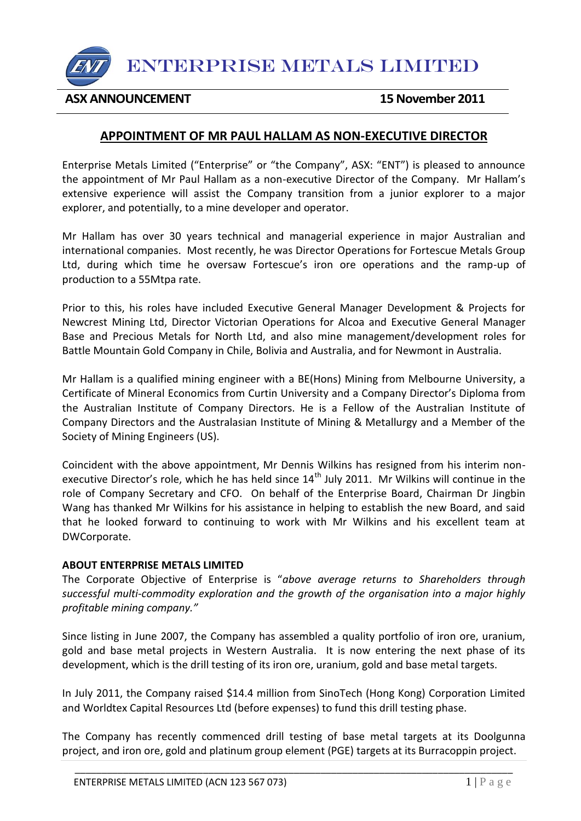

ENTERPRISE METALS LIMITED

### **ASX ANNOUNCEMENT 15 November 2011**

## **APPOINTMENT OF MR PAUL HALLAM AS NON-EXECUTIVE DIRECTOR**

Enterprise Metals Limited ("Enterprise" or "the Company", ASX: "ENT") is pleased to announce the appointment of Mr Paul Hallam as a non-executive Director of the Company. Mr Hallam's extensive experience will assist the Company transition from a junior explorer to a major explorer, and potentially, to a mine developer and operator.

Mr Hallam has over 30 years technical and managerial experience in major Australian and international companies. Most recently, he was Director Operations for Fortescue Metals Group Ltd, during which time he oversaw Fortescue's iron ore operations and the ramp-up of production to a 55Mtpa rate.

Prior to this, his roles have included Executive General Manager Development & Projects for Newcrest Mining Ltd, Director Victorian Operations for Alcoa and Executive General Manager Base and Precious Metals for North Ltd, and also mine management/development roles for Battle Mountain Gold Company in Chile, Bolivia and Australia, and for Newmont in Australia.

Mr Hallam is a qualified mining engineer with a BE(Hons) Mining from Melbourne University, a Certificate of Mineral Economics from Curtin University and a Company Director's Diploma from the Australian Institute of Company Directors. He is a Fellow of the Australian Institute of Company Directors and the Australasian Institute of Mining & Metallurgy and a Member of the Society of Mining Engineers (US).

Coincident with the above appointment, Mr Dennis Wilkins has resigned from his interim nonexecutive Director's role, which he has held since 14<sup>th</sup> July 2011. Mr Wilkins will continue in the role of Company Secretary and CFO. On behalf of the Enterprise Board, Chairman Dr Jingbin Wang has thanked Mr Wilkins for his assistance in helping to establish the new Board, and said that he looked forward to continuing to work with Mr Wilkins and his excellent team at DWCorporate.

#### **ABOUT ENTERPRISE METALS LIMITED**

The Corporate Objective of Enterprise is "*above average returns to Shareholders through successful multi-commodity exploration and the growth of the organisation into a major highly profitable mining company."*

Since listing in June 2007, the Company has assembled a quality portfolio of iron ore, uranium, gold and base metal projects in Western Australia. It is now entering the next phase of its development, which is the drill testing of its iron ore, uranium, gold and base metal targets.

In July 2011, the Company raised \$14.4 million from SinoTech (Hong Kong) Corporation Limited and Worldtex Capital Resources Ltd (before expenses) to fund this drill testing phase.

The Company has recently commenced drill testing of base metal targets at its Doolgunna project, and iron ore, gold and platinum group element (PGE) targets at its Burracoppin project.

\_\_\_\_\_\_\_\_\_\_\_\_\_\_\_\_\_\_\_\_\_\_\_\_\_\_\_\_\_\_\_\_\_\_\_\_\_\_\_\_\_\_\_\_\_\_\_\_\_\_\_\_\_\_\_\_\_\_\_\_\_\_\_\_\_\_\_\_\_\_\_\_\_\_\_\_\_\_\_\_\_\_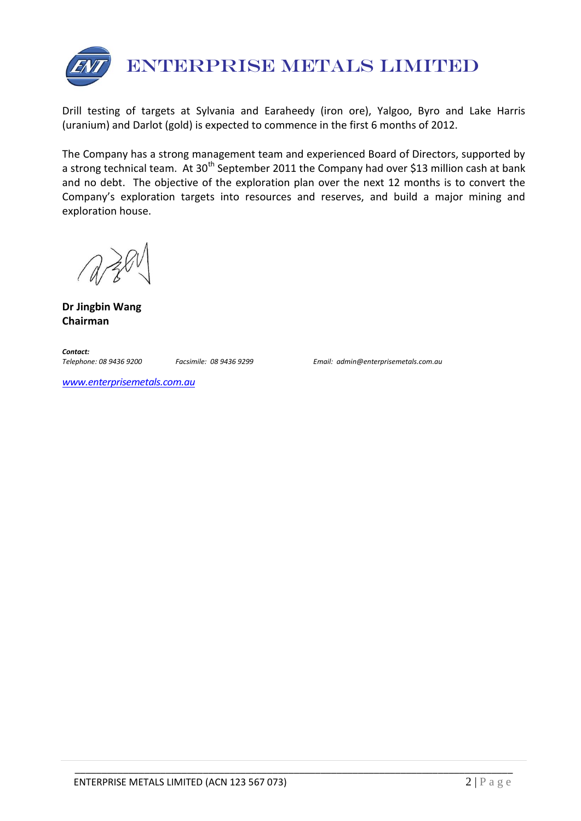

Drill testing of targets at Sylvania and Earaheedy (iron ore), Yalgoo, Byro and Lake Harris (uranium) and Darlot (gold) is expected to commence in the first 6 months of 2012.

The Company has a strong management team and experienced Board of Directors, supported by a strong technical team. At 30<sup>th</sup> September 2011 the Company had over \$13 million cash at bank and no debt. The objective of the exploration plan over the next 12 months is to convert the Company's exploration targets into resources and reserves, and build a major mining and exploration house.

**Dr Jingbin Wang Chairman**

*Contact:* 

*Telephone: 08 9436 9200 Facsimile: 08 9436 9299 Email: admin@enterprisemetals.com.au*

*[www.enterprisemetals.com.au](http://www.enterprisemetals.com.au/)*

\_\_\_\_\_\_\_\_\_\_\_\_\_\_\_\_\_\_\_\_\_\_\_\_\_\_\_\_\_\_\_\_\_\_\_\_\_\_\_\_\_\_\_\_\_\_\_\_\_\_\_\_\_\_\_\_\_\_\_\_\_\_\_\_\_\_\_\_\_\_\_\_\_\_\_\_\_\_\_\_\_\_